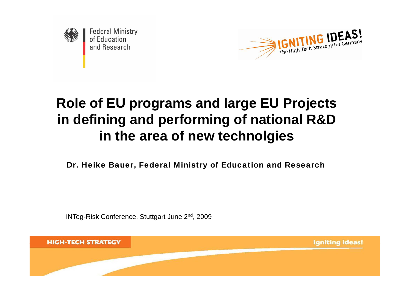

**Federal Ministry** of Education and Research



# **Role of EU programs and large EU Projects in defining and performing of national R&D in the area of new technolgies**

Dr. Heike Bauer, Federal Ministry of Education and Research

iNTeg-Risk Conference, Stuttgart June 2<sup>nd</sup>, 2009

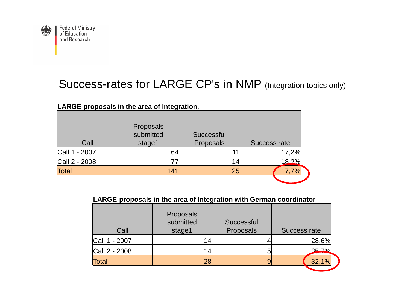

## Success-rates for LARGE CP's in NMP (Integration topics only)

| Call          | Proposals<br>submitted<br>stage1 | Successful<br>Proposals | Success rate |
|---------------|----------------------------------|-------------------------|--------------|
| Call 1 - 2007 | 64                               |                         | 17,2%        |
| Call 2 - 2008 |                                  | 14                      | 18.2%        |
| <b>Total</b>  | 141                              | 25 <sub>l</sub>         |              |
|               |                                  |                         |              |

**LARGE-proposals in the area of Integration,** 

#### **LARGE-proposals in the area of Integration with German coordinator**

| Call          | Proposals<br>submitted<br>stage1 | Successful<br>Proposals | Success rate |
|---------------|----------------------------------|-------------------------|--------------|
| Call 1 - 2007 |                                  |                         | 28,6%        |
| Call 2 - 2008 |                                  |                         | 35,70/1      |
| <b>Total</b>  | 28                               |                         | 32,1%        |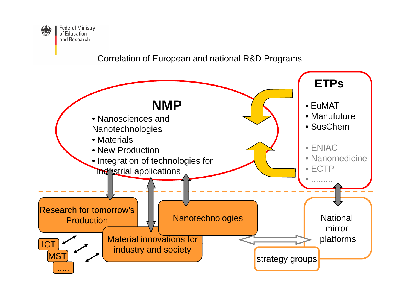

#### Correlation of European and national R&D Programs

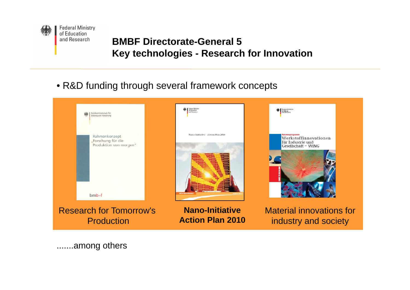

### **BMBF Directorate-General 5 Key technologies - Research for Innovation**

• R&D funding through several framework concepts



.......among others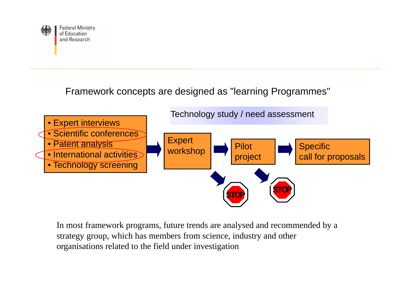

Framework concepts are designed as "learning Programmes"



In most framework programs, future trends are analysed and recommended by a strategy group, which has members from science, industry and other organisations related to the field under investigation